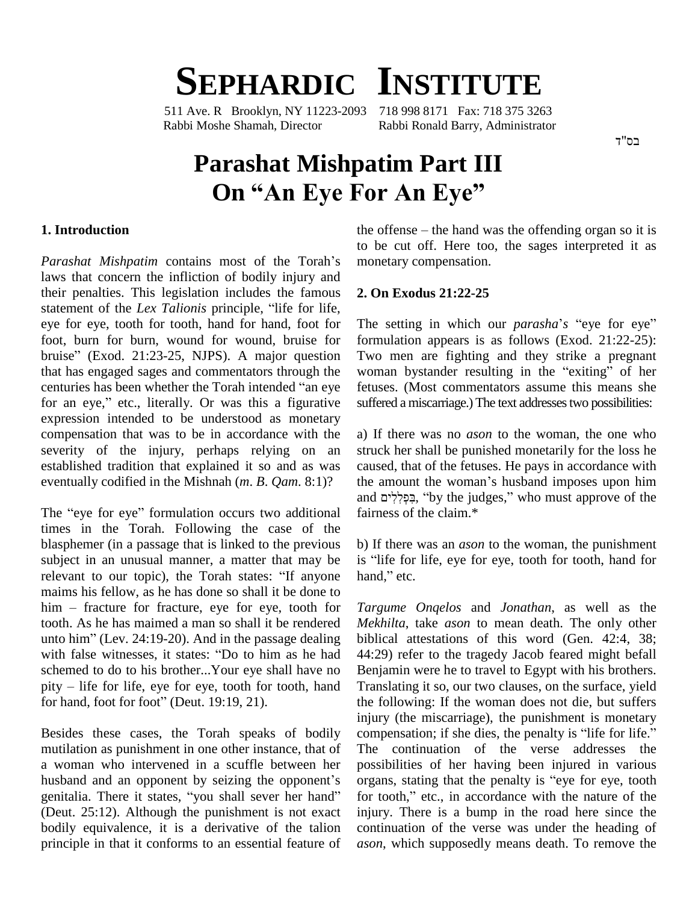# **SEPHARDIC INSTITUTE**

511 Ave. R Brooklyn, NY 11223-2093 718 998 8171 Fax: 718 375 3263 Rabbi Moshe Shamah, Director Rabbi Ronald Barry, Administrator

 $7"$ בס

# **Parashat Mishpatim Part III On** "An Eye For An Eye"

#### **1. Introduction**

Parashat Mishpatim contains most of the Torah's laws that concern the infliction of bodily injury and their penalties. This legislation includes the famous 2. O statement of the infliction of bodily injury and their penalties. This legislation includes the famous 2.<br>statement of the *Lex Talionis* principle, "life for life, eye for eye, tooth for tooth, hand for hand, foot for foot, burn for burn, wound for wound, bruise for eye for eye, tooth for tooth, hand for hand, foot for The s<br>foot, burn for burn, wound for wound, bruise for formu<br>bruise" (Exod. 21:23-25, NJPS). A major question Two that has engaged sages and commentators through the woman by stander resulting in the "exiting" of her bruise" (Exod. 21:23-25, NJPS). A major question Two<br>that has engaged sages and commentators through the wom<br>centuries has been whether the Torah intended "an eye fetuse centuries has been whether the Torah intended "an eye<br>for an eye," etc., literally. Or was this a figurative expression intended to be understood as monetary compensation that was to be in accordance with the severity of the injury, perhaps relying on an established tradition that explained it so and as was eventually codified in the Mishnah (*m. B. Qam.* 8:1)? the<br>and<br>The "eye for eye" formulation occurs two additional fair

times in the Torah. Following the case of the blasphemer (in a passage that is linked to the previous b) If subject in an unusual manner, a matter that may be is "list" relevant to our topic), the Torah states: "If anyone hand, subject in an unusual manner, a matter that may be maims his fellow, as he has done so shall it be done to relevant to our topic), the Torah states: "If anyone hand," etc. tooth. As he has maimed a man so shall it be rendered *Mekhi*<br>unto him" (Lev. 24:19-20). And in the passage dealing biblica<br>with false witnesses, it states: "Do to him as he had 44:29) him – fracture for fracture, eye for eye, tooth for tooth. As he has maimed a man so shall it be rendered unto him" (Lev.  $24:19-20$ ). And in the passage dealing schemed to do to his brother...Your eye shall have no<br>
pity – life for life, eye for eye, tooth for tooth, hand Transl<br>
for hand, foot for foot" (Deut. 19:19, 21). the fo with false witnesses, it states: "Do to him as he had schemed to do to his brother...Your eye shall have no pity – life for life, eye for eye, tooth for tooth, hand

mutilation as punishment in one other instance, that of The<br>a woman who intervened in a scuffle between her poss<br>husband and an opponent by seizing the opponent's orga a woman who intervened in a scuffle between her husband and an opponent by seizing the opponent's organs, stating that the penalty is "eye for eye, tooth genitalia. There it states, "you shall sever her hand" for tooth," etc., in accordance with the nature of the (Deut. 25:12). Although the punishment is not exact bodily equivalence, it is a derivative of the talion principle in that it conforms to an essential feature of

the offense  $-$  the hand was the offending organ so it is to be cut off. Here too, the sages interpreted it as monetary compensation.

#### **2. On Exodus 21:22-25**

The setting in which our *parasha's* "eye for eye" formulation appears is as follows (Exod. 21:22-25):<br>Two men are fighting and they strike a pregnant<br>woman bystander resulting in the "exiting" of her Two men are fighting and they strike a pregnant fetuses. (Most commentators assume this means she suffered a miscarriage.) The text addresses two possibilities:

a) If there was no *ason* to the woman, the one who struck her shall be punished monetarily for the loss he caused, that of the fetuses. He pays in accordance with struck her shall be punished monetarily for the loss he<br>caused, that of the fetuses. He pays in accordance with<br>the amount the woman's husband imposes upon him caused, that of the fetuses. He pays in accordance with<br>the amount the woman's husband imposes upon him<br>and יִבְּפְלְלִים, "by the judges," who must approve of the fairness of the claim.\*

b) If there was an *ason* to the woman, the punishment b) If there was an *ason* to the woman, the punishment<br>is "life for life, eye for eye, tooth for tooth, hand for b) If there was<br>is "life for life,<br>hand," etc.

Besides these cases, the Torah speaks of bodily compensation; if she dies, the penalty is "life for life." *Targume Onqelos* and *Jonathan*, as well as the *Mekhilta*, take *ason* to mean death. The only other biblical attestations of this word (Gen. 42:4, 38; 44:29) refer to the tragedy Jacob feared might befall Benjamin were he to travel to Egypt with his brothers. Translating it so, our two clauses, on the surface, yield the following: If the woman does not die, but suffers injury (the miscarriage), the punishment is monetary the following: If the woman does not die, but suffers injury (the miscarriage), the punishment is monetary compensation; if she dies, the penalty is "life for life." The continuation of the verse addresses the possibilities of her having been injured in various The continuation of the verse addresses the possibilities of her having been injured in various organs, stating that the penalty is "eye for eye, tooth possibilities of her having been injured in various<br>organs, stating that the penalty is "eye for eye, tooth<br>for tooth," etc., in accordance with the nature of the injury. There is a bump in the road here since the continuation of the verse was under the heading of *ason*, which supposedly means death. To remove the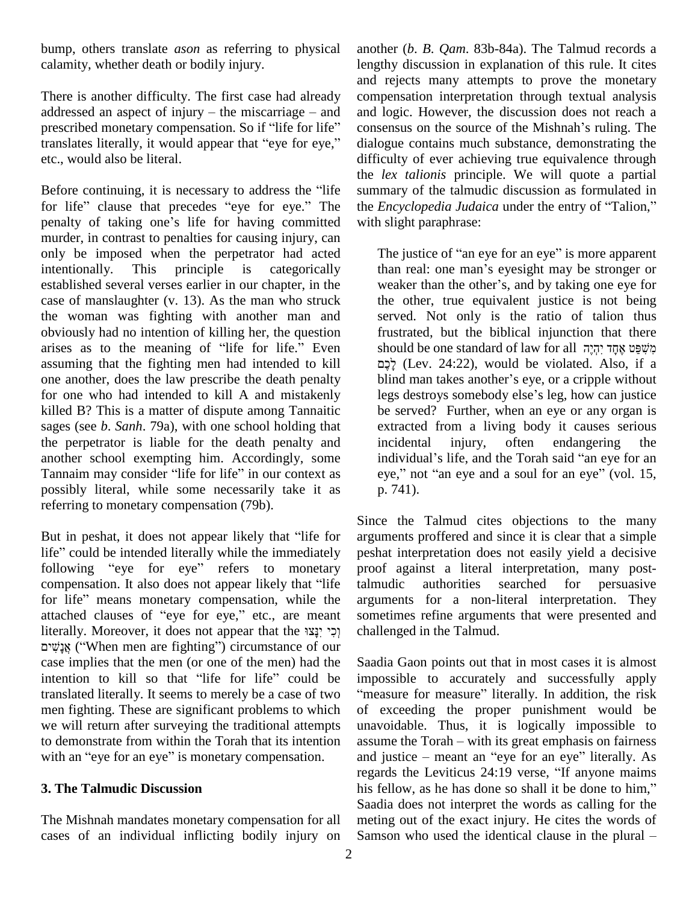bump, others translate *ason* as referring to physical calamity, whether death or bodily injury.

There is another difficulty. The first case had already and r<br>There is another difficulty. The first case had already compe-<br>addressed an aspect of injury – the miscarriage – and and lo There is another difficulty. The first case had already compaddressed an aspect of injury – the miscarriage – and and l<br>prescribed monetary compensation. So if "life for life" conse addressed an aspect of injury – the miscarriage – and and I<br>prescribed monetary compensation. So if "life for life" conse<br>translates literally, it would appear that "eye for eye," dialo etc., would also be literal.

Before continuing, it is necessary to address the "life" for life" clause that precedes "eye for eye." The the *Encyclopedia Judaica* under the entry of "Talion," penalty of taking one's life for having committed murder, in contrast to penalties for causing injury, can only be imposed when the perpetrator had acted intentionally. This principle is categorically than real: one man's eyesight may be stronger or established several verses earlier in our chapter, in the case of manslaughter (v. 13). As the man who struck the woman was fighting with another man and obviously had no intention of killing her, the question arises as to the meaning of "life for life." Even assuming that the fighting men had intended to kill one another, does the law prescribe the death penalty blind man takes another's eye, or a cripple without for one who had intended to kill A and mistakenly killed B? This is a matter of dispute among Tannaitic sages (see *b*. *Sanh*. 79a), with one school holding that the perpetrator is liable for the death penalty and<br>
another school exempting him. Accordingly, some inc<br>
Tannaim may consider "life for life" in our context as eye another school exempting him. Accordingly, some possibly literal, while some necessarily take it as referring to monetary compensation (79b).

But in peshat, it does not appear likely that "life for Since<br>But in peshat, it does not appear likely that "life for argum<br>life" could be intended literally while the immediately peshat But in peshat, it does not appear likely that "life for argum<br>life" could be intended literally while the immediately peshat<br>following "eye" or eye" refers to monetary proof life" could be intended literally while the immediately peshabilowing "eye for eye" refers to monetary proof compensation. It also does not appear likely that "life talmu following "eye for eye" refers to monetary proof compensation. It also does not appear likely that "life" talmu<br>for life" means monetary compensation, while the argur compensation. It also does not appear likely that "life" tal<br>for life" means monetary compensation, while the are<br>attached clauses of "eye for eye," etc., are meant so for life" means monetary compensation, while the attached clauses of "eye for eye," etc., are meant literally. Moreover, it does not appear that the וְכָי יְנַצוּ case implies that the men (or one of the men) had the אָנָשִׁים ("When men are fighting") circumstance of our case implies that the men (or one of the men) had the intention to kill so that "life" for life" could be translated literally. It seems to merely be a case of two men fighting. These are significant problems to which we will return after surveying the traditional attempts to demonstrate from within the Torah that its intention assume the Torah – with its great emphasis on fairness with an "eye for an eye" is monetary compensation.

## **3. The Talmudic Discussion**

The Mishnah mandates monetary compensation for all cases of an individual inflicting bodily injury on Samson who used the identical clause in the plural –

another (*b*. *B*. *Qam*. 83b-84a). The Talmud records a lengthy discussion in explanation of this rule. It cites and rejects many attempts to prove the monetary compensation interpretation through textual analysis consensus on the source of the Mishnahí<sup>s</sup> ruling. The and logic. However, the discussion does not reach a dialogue contains much substance, demonstrating the difficulty of ever achieving true equivalence through the *lex talionis* principle. We will quote a partial summary of the talmudic discussion as formulated in the *Encyclopedia Judaica* under the entry of "Talion," summary of the talmudic discussion as formulated in with slight paraphrase: It says is used in the justice of "an eye for an eye" is more apparent<br>The justice of "an eye for an eye" is more apparent

The justice of "an eye for an eye" is more apparent<br>than real: one man's eyesight may be stronger or The justice of "an eye for an eye" is more apparent<br>than real: one man's eyesight may be stronger or<br>weaker than the other's, and by taking one eye for the other, true equivalent justice is not being served. Not only is the ratio of talion thus frustrated, but the biblical injunction that there should be one standard of law for all  $\pi$ *ç*i  $\pi$ *ç*  $\pi$ *ç* frustrated, but the biblical injunction that there לֶכֶם (Lev. 24:22), would be violated. Also, if a should be one standard of law for all משפט אחד יהיה legs destroys somebody else's leg, how can justice be served? Further, when an eye or any organ is extracted from a living body it causes serious incidental injury, often endangering the individual's life, and the Torah said "an eye for an eye," not "an eye and a soul for an eye" (vol. 15, p. 741).

Since the Talmud cites objections to the many arguments proffered and since it is clear that a simple peshat interpretation does not easily yield a decisive proof against a literal interpretation, many posttalmudic authorities searched for persuasive arguments for a non-literal interpretation. They sometimes refine arguments that were presented and challenged in the Talmud.

Saadia Gaon points out that in most cases it is almost impossible to accurately and successfully apply "measure for measure" literally. In addition, the risk of exceeding the proper punishment would be<br>unavoidable. Thus, it is logically impossible to<br>assume the Torah – with its great emphasis on fairness unavoidable. Thus, it is logically impossible to assume the Torah – with its great emphasis on fairness and justice – meant an "eye for an eye" literally. As assume the Torah – with its great emphasis on fairness<br>and justice – meant an "eye for an eye" literally. As<br>regards the Leviticus 24:19 verse, "If anyone maims and justice – meant an "eye for an eye" literally. As<br>regards the Leviticus 24:19 verse, "If anyone maims<br>his fellow, as he has done so shall it be done to him," Saadia does not interpret the words as calling for the meting out of the exact injury. He cites the words of Saadia does not interpret the words as calling for the meting out of the exact injury. He cites the words of Samson who used the identical clause in the plural –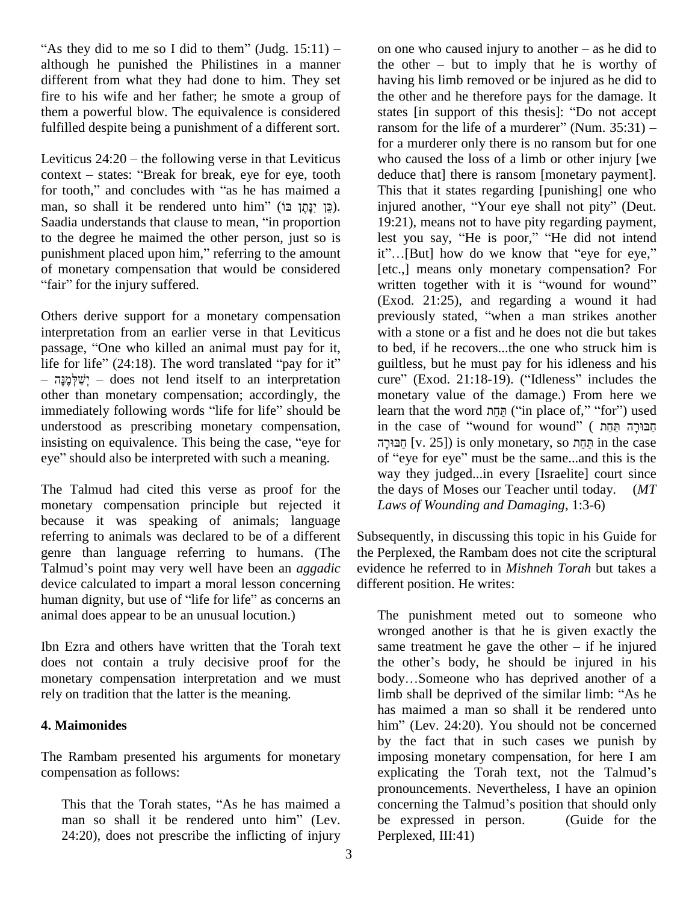"As they did to me so I did to them" (Judg.  $15:11$ ) – although he punished the Philistines in a manner different from what they had done to him. They set fire to his wife and her father; he smote a group of them a powerful blow. The equivalence is considered states [in support of this thesis]: "Do not accept fulfilled despite being a punishment of a different sort.<br>Leviticus 24:20 – the following verse in that Leviticus

Leviticus  $24:20$  – the following verse in that Leviticus context – states: "Break for break, eye for eye, tooth Leviticus 24:20 – the following verse in that Leviticus<br>
context – states: "Break for break, eye for eye, tooth d<br>
for tooth," and concludes with "as he has maimed a context – states: "Break for break, eye for eye, tooth for tooth," and concludes with "as he has maimed a man, so shall it be rendered unto him" (כֵּן יָנָהֶן בּוֹ). for tooth," and concludes with "as he has maimed a<br>man, so shall it be rendered unto him" (כֵּן יָבָּתֶן בּוֹ). inj<br>Saadia understands that clause to mean, "in proportion 19 to the degree he maimed the other person, just so is Saadia understands that clause to mean, "in proportion<br>to the degree he maimed the other person, just so is<br>punishment placed upon him," referring to the amount<br>of monetary compensation that would be considered<br>"fair" for of monetary compensation that would be considered

Others derive support for a monetary compensation prointerpretation from an earlier verse in that Leviticus wis wis passage, "One who killed an animal must pay for it, interpretation from an earlier verse in that Leviticus<br>passage, "One who killed an animal must pay for it, to<br>life for life" (24:18). The word translated "pay for it" g passage, "One who killed an animal must pay for it,<br>life for life" (24:18). The word translated "pay for it"<br> $-$  "שלְמוּה" – does not lend itself to an interpretation other than monetary compensation; accordingly, the immediately following words <sup>ì</sup>life for life<sup>î</sup> should be understood as prescribing monetary compensation, insisting on equivalence. This being the case, "eye for eye" should also be interpreted with such a meaning. immediately following words "life for life" should be understood as prescribing monetary compensation, insisting on equivalence. This being the case, "eve for

The Talmud had cited this verse as proof for the monetary compensation principle but rejected it because it was speaking of animals; language referring to animals was declared to be of a different Subsequent than language referring to humans. (The the P<br>Talmud's point may very well have been an *aggadic* evide genre than language referring to humans. (The device calculated to impart a moral lesson concerning differe Talmud's point may very well have been an *aggadic* evider device calculated to impart a moral lesson concerning different human dignity, but use of "life for life" as concerns an animal does appear to be an unusual locution.)

Ibn Ezra and others have written that the Torah text does not contain a truly decisive proof for the monetary compensation interpretation and we must rely on tradition that the latter is the meaning.

## **4. Maimonides**

The Rambam presented his arguments for monetary compensation as follows: pensation as follows:<br>
This that the Torah states, "As he has maimed a co

This that the Torah states, "As he has maimed a<br>man so shall it be rendered unto him" (Lev.  $24:20$ , does not prescribe the inflicting of injury

on one who caused injury to another  $-\infty$  he did to the other  $-$  but to imply that he is worthy of having his limb removed or be injured as he did to<br>the other and he therefore pays for the damage. It<br>states [in support of this thesis]: "Do not accept the other and he therefore pays for the damage. It ransom for the life of a murderer" (Num.  $35:31$ ) – for a murderer only there is no ransom but for one who caused the loss of a limb or other injury [we deduce that] there is ransom [monetary payment].<br>This that it states regarding [punishing] one who<br>injured another, "Your eye shall not pity" (Deut. This that it states regarding [punishing] one who 19:21), means not to have pity regarding payment, injured another, "Your eye shall not pity" (Deut.<br>19:21), means not to have pity regarding payment,<br>lest you say, "He is poor," "He did not intend 19:21), means not to have pity regarding payment,<br>lest you say, "He is poor," "He did not intend<br>it"...[But] how do we know that "eye for eye," [etc.,] means only monetary compensation? For it"...[But] how do we know that "eye for eye,"<br>[etc.,] means only monetary compensation? For<br>written together with it is "wound for wound" (Exod. 21:25), and regarding a wound it had previously stated, "when a man strikes another with a stone or a fist and he does not die but takes to bed, if he recovers...the one who struck him is guiltless, but he must pay for his idleness and his to bed, if he recovers...the one who struck him is<br>guiltless, but he must pay for his idleness and his<br>cure" (Exod. 21:18-19). ("Idleness" includes the monetary value of the damage.) From here we<br>learn that the word חֲתַּח ("in place of," "for") used<br>הַבּוּרָה תַּחַח (הַחֵּח (מִחֲח (תַּחַח) cure" (Exod. 21:18-19). ("Idleness" includes the monetary value of the damage.) From here we learn that the word  $\overline{p}$   $\overline{p}$  ("in place of," "for") used learn that the word חֲחַף ("in place of," "for") used<br>in the case of "wound for wound" ( הַבּוּרָה חַחַף<br>הַבּוּרה [v. 25]) is only monetary, so חַחַה in the case of "eye for eye" must be the same...and this is the way they judged...in every [Israelite] court since the days of Moses our Teacher until today. (*MT Laws of Wounding and Damaging*, 1:3-6)

Subsequently, in discussing this topic in his Guide for the Perplexed, the Rambam does not cite the scriptural evidence he referred to in *Mishneh Torah* but takes a different position. He writes:

The punishment meted out to someone who<br>wronged another is that he is given exactly the<br>same treatment he gave the other – if he injured wronged another is that he is given exactly the wronged another is that he is given exactly the same treatment he gave the other  $-$  if he injured the other's body, he should be injured in his same treatment he gave the other  $-$  if he injured<br>the other's body, he should be injured in his<br>body...Someone who has deprived another of a the other's body, he should be injured in his<br>body...Someone who has deprived another of a<br>limb shall be deprived of the similar limb: "As he has maimed a man so shall it be rendered unto limb shall be deprived of the similar limb: "As he<br>has maimed a man so shall it be rendered unto<br>him" (Lev. 24:20). You should not be concerned by the fact that in such cases we punish by<br>imposing monetary compensation, for here I am<br>explicating the Torah text, not the Talmud's imposing monetary compensation, for here I am pronouncements. Nevertheless, I have an opinion explicating the Torah text, not the Talmud's pronouncements. Nevertheless, I have an opinion concerning the Talmud's position that should only be expressed in person. (Guide for the Perplexed, III:41)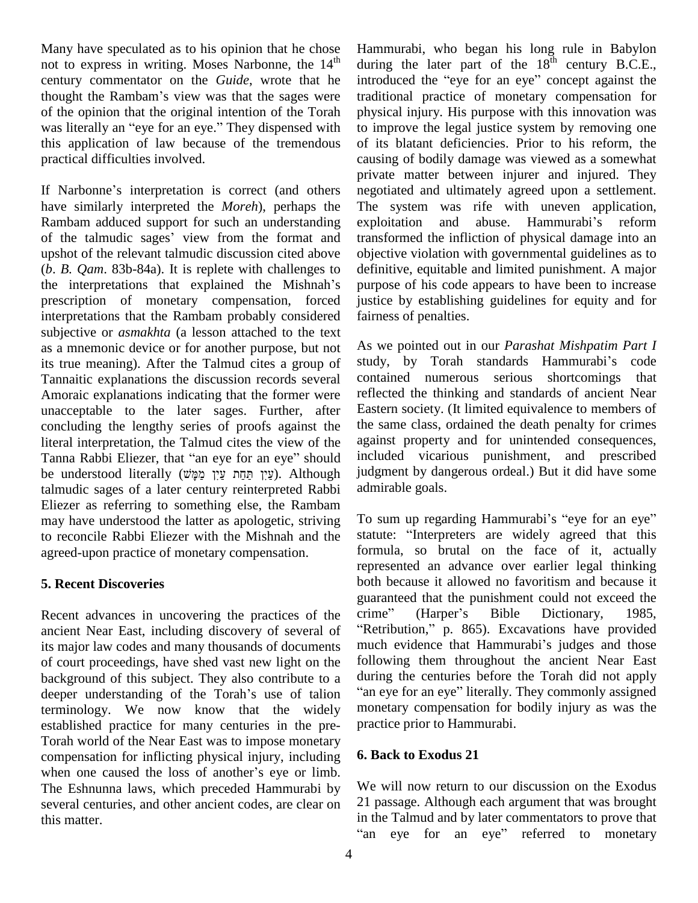Many have speculated as to his opinion that he chose not to express in writing. Moses Narbonne, the 14 century commentator on the *Guide*, wrote that he not to express in writing. Moses Narbonne, the 14<sup>th</sup> durin<br>century commentator on the *Guide*, wrote that he introd<br>thought the Rambam's view was that the sages were tradit of the opinion that the original intention of the Torah thought the Rambam's view was that the sages were<br>of the opinion that the original intention of the Torah<br>was literally an "eye for an eye." They dispensed with this application of law because of the tremendous practical difficulties involved.

If Narbonne's interpretation is correct (and others have similarly interpreted the *Moreh*), perhaps the Rambam adduced support for such an understanding have similarly interpreted the *Moreh*), perhaps the The Rambam adduced support for such an understanding exploit of the talmudic sages' view from the format and transfer upshot of the relevant talmudic discussion cited above (*b*. *B. Qam*. 83b-84a). It is replete with challenges to the interpretations that explained the Mishnah's prescription of monetary compensation, forced interpretations that the Rambam probably considered subjective or *asmakhta* (a lesson attached to the text as a mnemonic device or for another purpose, but not its true meaning). After the Talmud cites a group of Tannaitic explanations the discussion records several Amoraic explanations indicating that the former were unacceptable to the later sages. Further, after concluding the lengthy series of proofs against the the saliteral interpretation, the Talmud cites the view of the agains<br>Tanna Rabbi Eliezer, that "an eye for an eye" should includ literal interpretation, the Talmud cites the view of the agains<br>Tanna Rabbi Eliezer, that "an eye for an eye" should includ<br>be understood literally (עַיְן תַּחָּת עַיִן מַמְּשׁ). Although judgm talmudic sages of a later century reinterpreted Rabbi Eliezer as referring to something else, the Rambam may have understood the latter as apologetic, striving to reconcile Rabbi Eliezer with the Mishnah and the agreed-upon practice of monetary compensation.

## **5. Recent Discoveries**

Recent advances in uncovering the practices of the crime" ancient Near East, including discovery of several of "Retribution," p. 865). Excavations have provided<br>its major law codes and many thousands of documents much evidence that Hammurabi's judges and those its major law codes and many thousands of documents of court proceedings, have shed vast new light on the follow<br>background of this subject. They also contribute to a during<br>deeper understanding of the Torah's use of talion "an ey background of this subject. They also contribute to a terminology. We now know that the widely established practice for many centuries in the pre- Torah world of the Near East was to impose monetary compensation for inflicting physical injury, including **6. Bac** Torah world of the Near East was to impose monetary<br>compensation for inflicting physical injury, including 6.<br>when one caused the loss of another's eye or limb. The Eshnunna laws, which preceded Hammurabi by several centuries, and other ancient codes, are clear on 21 passage. Although each argument that was brought<br>in the Talmud and by later commentators to prove that this matter.

<sup>th</sup> during the later part of the  $18^{\text{th}}$  century B.C.E., Hammurabi, who began his long rule in Babylon Hammurabi, who began his long rule in Babylon<br>during the later part of the 18<sup>th</sup> century B.C.E.,<br>introduced the "eye for an eye" concept against the traditional practice of monetary compensation for physical injury. His purpose with this innovation was to improve the legal justice system by removing one of its blatant deficiencies. Prior to his reform, the causing of bodily damage was viewed as a somewhat private matter between injurer and injured. They negotiated and ultimately agreed upon a settlement. The system was rife with uneven application, negotiated and ultimately agreed upon a settlement.<br>The system was rife with uneven application,<br>exploitation and abuse. Hammurabi's reform transformed the infliction of physical damage into an objective violation with governmental guidelines as to definitive, equitable and limited punishment. A major purpose of his code appears to have been to increase justice by establishing guidelines for equity and for fairness of penalties.

As we pointed out in our *Parashat Mishpatim Part I* study, by Torah standards Hammurabi's code contained numerous serious shortcomings that reflected the thinking and standards of ancient Near Eastern society. (It limited equivalence to members of the same class, ordained the death penalty for crimes against property and for unintended consequences, included vicarious punishment, and prescribed judgment by dangerous ordeal.) But it did have some admirable goals.

To sum up regarding Hammurabi's "eye for an eye" statute: "Interpreters are widely agreed that this formula, so brutal on the face of it, actually represented an advance over earlier legal thinking both because it allowed no favoritism and because it guaranteed that the punishment could not exceed the both because it allowed no favoritism and because it<br>guaranteed that the punishment could not exceed the<br>crime" (Harper's Bible Dictionary, 1985, uaranteed that the punishment could not exceed the<br>
rime" (Harper's Bible Dictionary, 1985,<br>
Retribution," p. 865). Excavations have provided crime" (Harper's Bible Dictionary, 1985,<br>"Retribution," p. 865). Excavations have provided following them throughout the ancient Near East during the centuries before the Torah did not apply "an eye for an eye" literally. They commonly assigned monetary compensation for bodily injury as was the practice prior to Hammurabi.

#### **6. Back to Exodus 21**

We will now return to our discussion on the Exodus 21 passage. Although each argument that was brought in the Talmud and by later commentators to prove that <sup>ì</sup>"an eye for an eye" referred to monetary